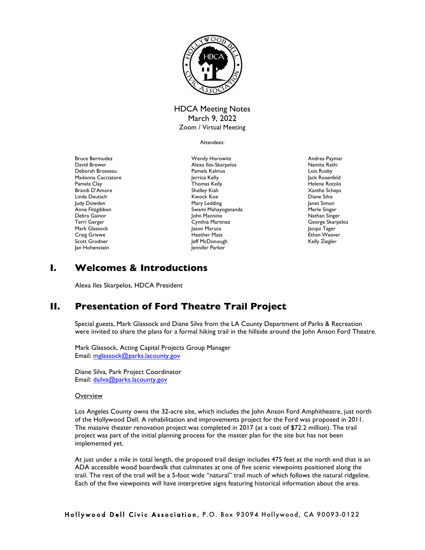

# HDCA Meeting Notes March 9, 2022 Zoom / Virtual Meeting

Attendees:

Bruce Bermudez David Brewer Deborah Brosseau Madonna Cacciatore Pamela Clay Brandi D'Amore Linda Deutsch Judy Dowden Anne Fitzgibbon Debra Gainor Terri Gerger Mark Glassock Craig Griewe Scott Grodner Jan Hohenstein

Wendy Horowitz Alexa Iles-Skarpelos Pamela Kalmus Jerrica Kelly Thomas Kelly Shelley Kiah Kwock Koe Mary Ledding Swami Mahayogananda John Mannino Cynthia Martinez Jason Maruca Heather Mata Jeff McDonough Jennifer Parker

Andrea Paymar Namita Rathi Lois Rosby Jack Rosenfeld Helene Rotolo Xanthe Scheps Diane Silva Janet Simon Merle Singer Nathan Singer George Skarpelos Jacqui Tager Ethan Weaver Kelly Ziegler

# **I. Welcomes & Introductions**

Alexa Iles Skarpelos, HDCA President

# **II. Presentation of Ford Theatre Trail Project**

Special guests, Mark Glassock and Diane Silva from the LA County Department of Parks & Recreation were invited to share the plans for a formal hiking trail in the hillside around the John Anson Ford Theatre.

Mark Glassock, Acting Capital Projects Group Manager Email: mglassock@parks.lacounty.gov

Diane Silva, Park Project Coordinator Email: dsilva@parks.lacounty.gov

# **Overview**

Los Angeles County owns the 32-acre site, which includes the John Anson Ford Amphitheatre, just north of the Hollywood Dell. A rehabilitation and improvements project for the Ford was proposed in 2011. The massive theater renovation project was completed in 2017 (at a cost of \$72.2 million). The trail project was part of the initial planning process for the master plan for the site but has not been implemented yet.

At just under a mile in total length, the proposed trail design includes 475 feet at the north end that is an ADA accessible wood boardwalk that culminates at one of five scenic viewpoints positioned along the trail. The rest of the trail will be a 5-foot wide "natural" trail much of which follows the natural ridgeline. Each of the five viewpoints will have interpretive signs featuring historical information about the area.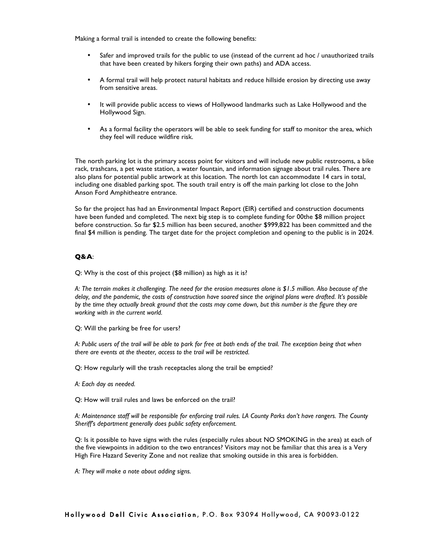Making a formal trail is intended to create the following benefits:

- Safer and improved trails for the public to use (instead of the current ad hoc / unauthorized trails that have been created by hikers forging their own paths) and ADA access.
- A formal trail will help protect natural habitats and reduce hillside erosion by directing use away from sensitive areas.
- It will provide public access to views of Hollywood landmarks such as Lake Hollywood and the Hollywood Sign.
- As a formal facility the operators will be able to seek funding for staff to monitor the area, which they feel will reduce wildfire risk.

The north parking lot is the primary access point for visitors and will include new public restrooms, a bike rack, trashcans, a pet waste station, a water fountain, and information signage about trail rules. There are also plans for potential public artwork at this location. The north lot can accommodate 14 cars in total, including one disabled parking spot. The south trail entry is off the main parking lot close to the John Anson Ford Amphitheatre entrance.

So far the project has had an Environmental Impact Report (EIR) certified and construction documents have been funded and completed. The next big step is to complete funding for 00the \$8 million project before construction. So far \$2.5 million has been secured, another \$999,822 has been committed and the final \$4 million is pending. The target date for the project completion and opening to the public is in 2024.

# **Q&A**:

Q: Why is the cost of this project (\$8 million) as high as it is?

*A: The terrain makes it challenging. The need for the erosion measures alone is \$1.5 million. Also because of the delay, and the pandemic, the costs of construction have soared since the original plans were drafted. It's possible by the time they actually break ground that the costs may come down, but this number is the figure they are working with in the current world.*

Q: Will the parking be free for users?

*A: Public users of the trail will be able to park for free at both ends of the trail. The exception being that when there are events at the theater, access to the trail will be restricted.*

Q: How regularly will the trash receptacles along the trail be emptied?

*A: Each day as needed.*

Q: How will trail rules and laws be enforced on the trail?

*A: Maintenance staff will be responsible for enforcing trail rules. LA County Parks don't have rangers. The County Sheriff's department generally does public safety enforcement.*

Q: Is it possible to have signs with the rules (especially rules about NO SMOKING in the area) at each of the five viewpoints in addition to the two entrances? Visitors may not be familiar that this area is a Very High Fire Hazard Severity Zone and not realize that smoking outside in this area is forbidden.

*A: They will make a note about adding signs.*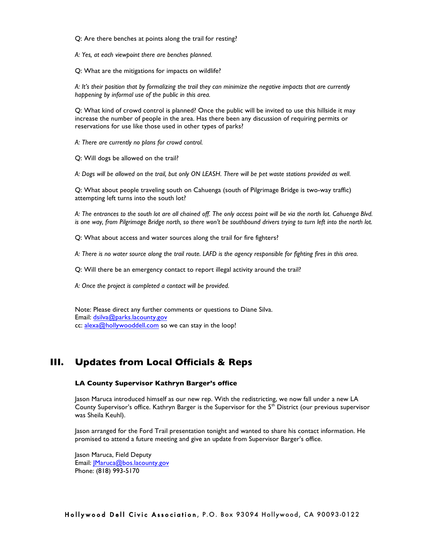Q: Are there benches at points along the trail for resting?

*A: Yes, at each viewpoint there are benches planned.*

Q: What are the mitigations for impacts on wildlife?

*A: It's their position that by formalizing the trail they can minimize the negative impacts that are currently happening by informal use of the public in this area.*

Q: What kind of crowd control is planned? Once the public will be invited to use this hillside it may increase the number of people in the area. Has there been any discussion of requiring permits or reservations for use like those used in other types of parks?

*A: There are currently no plans for crowd control.*

Q: Will dogs be allowed on the trail?

*A: Dogs will be allowed on the trail, but only ON LEASH. There will be pet waste stations provided as well.*

Q: What about people traveling south on Cahuenga (south of Pilgrimage Bridge is two-way traffic) attempting left turns into the south lot?

*A: The entrances to the south lot are all chained off. The only access point will be via the north lot. Cahuenga Blvd. is one way, from Pilgrimage Bridge north, so there won't be southbound drivers trying to turn left into the north lot.*

Q: What about access and water sources along the trail for fire fighters?

*A: There is no water source along the trail route. LAFD is the agency responsible for fighting fires in this area.*

Q: Will there be an emergency contact to report illegal activity around the trail?

*A: Once the project is completed a contact will be provided.*

Note: Please direct any further comments or questions to Diane Silva. Email: dsilva@parks.lacounty.gov cc: alexa@hollywooddell.com so we can stay in the loop!

# **III. Updates from Local Officials & Reps**

#### **LA County Supervisor Kathryn Barger's office**

Jason Maruca introduced himself as our new rep. With the redistricting, we now fall under a new LA County Supervisor's office. Kathryn Barger is the Supervisor for the 5th District (our previous supervisor was Sheila Keuhl).

Jason arranged for the Ford Trail presentation tonight and wanted to share his contact information. He promised to attend a future meeting and give an update from Supervisor Barger's office.

Jason Maruca, Field Deputy Email: *Maruca@bos.lacounty.gov* Phone: (818) 993-5170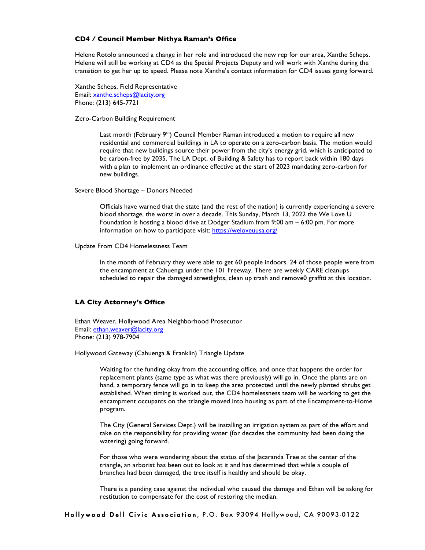#### **CD4 / Council Member Nithya Raman's Office**

Helene Rotolo announced a change in her role and introduced the new rep for our area, Xanthe Scheps. Helene will still be working at CD4 as the Special Projects Deputy and will work with Xanthe during the transition to get her up to speed. Please note Xanthe's contact information for CD4 issues going forward.

Xanthe Scheps, Field Representative Email: xanthe.scheps@lacity.org Phone: (213) 645-7721

Zero-Carbon Building Requirement

Last month (February 9<sup>th</sup>) Council Member Raman introduced a motion to require all new residential and commercial buildings in LA to operate on a zero-carbon basis. The motion would require that new buildings source their power from the city's energy grid, which is anticipated to be carbon-free by 2035. The LA Dept. of Building & Safety has to report back within 180 days with a plan to implement an ordinance effective at the start of 2023 mandating zero-carbon for new buildings.

Severe Blood Shortage – Donors Needed

Officials have warned that the state (and the rest of the nation) is currently experiencing a severe blood shortage, the worst in over a decade. This Sunday, March 13, 2022 the We Love U Foundation is hosting a blood drive at Dodger Stadium from 9:00 am – 6:00 pm. For more information on how to participate visit: https://weloveuusa.org/

Update From CD4 Homelessness Team

In the month of February they were able to get 60 people indoors. 24 of those people were from the encampment at Cahuenga under the 101 Freeway. There are weekly CARE cleanups scheduled to repair the damaged streetlights, clean up trash and remove0 graffiti at this location.

### **LA City Attorney's Office**

Ethan Weaver, Hollywood Area Neighborhood Prosecutor Email: ethan.weaver@lacity.org Phone: (213) 978-7904

Hollywood Gateway (Cahuenga & Franklin) Triangle Update

Waiting for the funding okay from the accounting office, and once that happens the order for replacement plants (same type as what was there previously) will go in. Once the plants are on hand, a temporary fence will go in to keep the area protected until the newly planted shrubs get established. When timing is worked out, the CD4 homelessness team will be working to get the encampment occupants on the triangle moved into housing as part of the Encampment-to-Home program.

The City (General Services Dept.) will be installing an irrigation system as part of the effort and take on the responsibility for providing water (for decades the community had been doing the watering) going forward.

For those who were wondering about the status of the Jacaranda Tree at the center of the triangle, an arborist has been out to look at it and has determined that while a couple of branches had been damaged, the tree itself is healthy and should be okay.

There is a pending case against the individual who caused the damage and Ethan will be asking for restitution to compensate for the cost of restoring the median.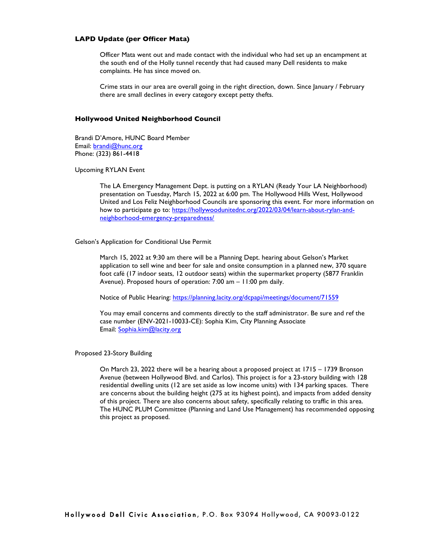# **LAPD Update (per Officer Mata)**

Officer Mata went out and made contact with the individual who had set up an encampment at the south end of the Holly tunnel recently that had caused many Dell residents to make complaints. He has since moved on.

Crime stats in our area are overall going in the right direction, down. Since January / February there are small declines in every category except petty thefts.

#### **Hollywood United Neighborhood Council**

Brandi D'Amore, HUNC Board Member Email: brandi@hunc.org Phone: (323) 861-4418

Upcoming RYLAN Event

The LA Emergency Management Dept. is putting on a RYLAN (Ready Your LA Neighborhood) presentation on Tuesday, March 15, 2022 at 6:00 pm. The Hollywood Hills West, Hollywood United and Los Feliz Neighborhood Councils are sponsoring this event. For more information on how to participate go to: https://hollywoodunitednc.org/2022/03/04/learn-about-rylan-andneighborhood-emergency-preparedness/

#### Gelson's Application for Conditional Use Permit

March 15, 2022 at 9:30 am there will be a Planning Dept. hearing about Gelson's Market application to sell wine and beer for sale and onsite consumption in a planned new, 370 square foot café (17 indoor seats, 12 outdoor seats) within the supermarket property (5877 Franklin Avenue). Proposed hours of operation: 7:00 am – 11:00 pm daily.

Notice of Public Hearing: https://planning.lacity.org/dcpapi/meetings/document/71559

You may email concerns and comments directly to the staff administrator. Be sure and ref the case number (ENV-2021-10033-CE): Sophia Kim, City Planning Associate Email: Sophia.kim@lacity.org

Proposed 23-Story Building

On March 23, 2022 there will be a hearing about a proposed project at 1715 – 1739 Bronson Avenue (between Hollywood Blvd. and Carlos). This project is for a 23-story building with 128 residential dwelling units (12 are set aside as low income units) with 134 parking spaces. There are concerns about the building height (275 at its highest point), and impacts from added density of this project. There are also concerns about safety, specifically relating to traffic in this area. The HUNC PLUM Committee (Planning and Land Use Management) has recommended opposing this project as proposed.